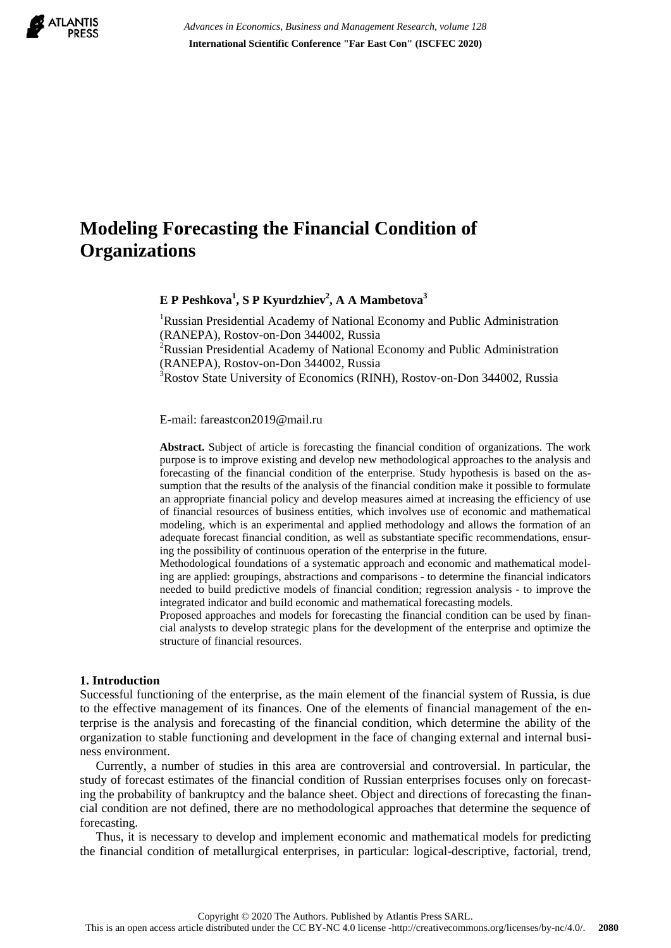

*Advances in Economics, Business and Management Research, volume 128* **International Scientific Conference "Far East Con" (ISCFEC 2020)**

# **Modeling Forecasting the Financial Condition of Organizations**

**E P Peshkova<sup>1</sup> , S P Kyurdzhiev<sup>2</sup> , A A Mambetova<sup>3</sup>**

<sup>1</sup>Russian Presidential Academy of National Economy and Public Administration (RANEPA), Rostov-on-Don 344002, Russia <sup>2</sup>Russian Presidential Academy of National Economy and Public Administration (RANEPA), Rostov-on-Don 344002, Russia

<sup>3</sup>Rostov State University of Economics (RINH), Rostov-on-Don 344002, Russia

E-mail: fareastcon2019@mail.ru

**Abstract.** Subject of article is forecasting the financial condition of organizations. The work purpose is to improve existing and develop new methodological approaches to the analysis and forecasting of the financial condition of the enterprise. Study hypothesis is based on the assumption that the results of the analysis of the financial condition make it possible to formulate an appropriate financial policy and develop measures aimed at increasing the efficiency of use of financial resources of business entities, which involves use of economic and mathematical modeling, which is an experimental and applied methodology and allows the formation of an adequate forecast financial condition, as well as substantiate specific recommendations, ensuring the possibility of continuous operation of the enterprise in the future.

Methodological foundations of a systematic approach and economic and mathematical modeling are applied: groupings, abstractions and comparisons - to determine the financial indicators needed to build predictive models of financial condition; regression analysis - to improve the integrated indicator and build economic and mathematical forecasting models.

Proposed approaches and models for forecasting the financial condition can be used by financial analysts to develop strategic plans for the development of the enterprise and optimize the structure of financial resources.

#### **1. Introduction**

Successful functioning of the enterprise, as the main element of the financial system of Russia, is due to the effective management of its finances. One of the elements of financial management of the enterprise is the analysis and forecasting of the financial condition, which determine the ability of the organization to stable functioning and development in the face of changing external and internal business environment.

Currently, a number of studies in this area are controversial and controversial. In particular, the study of forecast estimates of the financial condition of Russian enterprises focuses only on forecasting the probability of bankruptcy and the balance sheet. Object and directions of forecasting the financial condition are not defined, there are no methodological approaches that determine the sequence of forecasting.

Thus, it is necessary to develop and implement economic and mathematical models for predicting the financial condition of metallurgical enterprises, in particular: logical-descriptive, factorial, trend,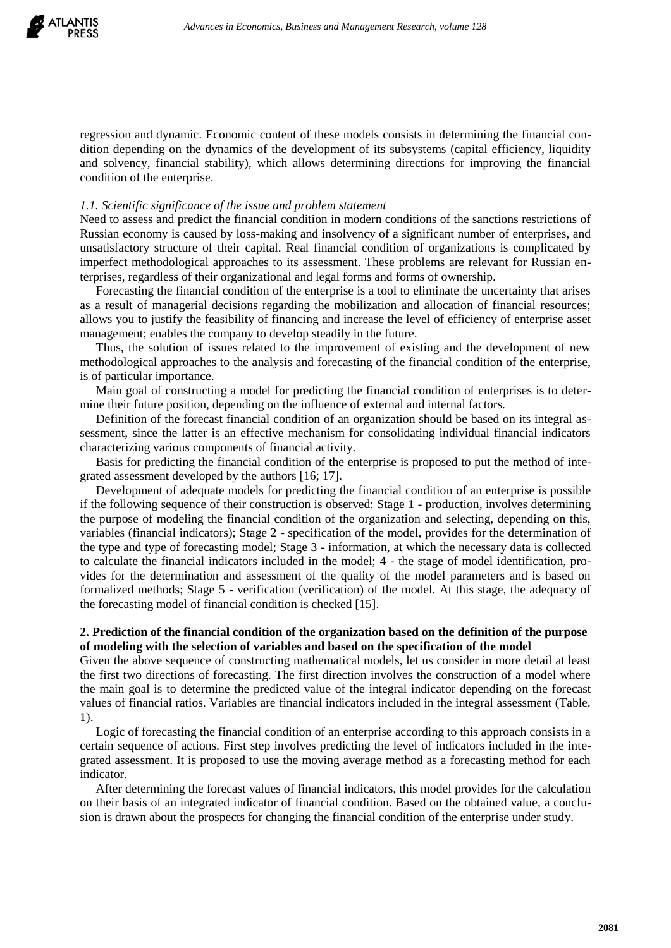

regression and dynamic. Economic content of these models consists in determining the financial condition depending on the dynamics of the development of its subsystems (capital efficiency, liquidity and solvency, financial stability), which allows determining directions for improving the financial condition of the enterprise.

#### *1.1. Scientific significance of the issue and problem statement*

Need to assess and predict the financial condition in modern conditions of the sanctions restrictions of Russian economy is caused by loss-making and insolvency of a significant number of enterprises, and unsatisfactory structure of their capital. Real financial condition of organizations is complicated by imperfect methodological approaches to its assessment. These problems are relevant for Russian enterprises, regardless of their organizational and legal forms and forms of ownership.

Forecasting the financial condition of the enterprise is a tool to eliminate the uncertainty that arises as a result of managerial decisions regarding the mobilization and allocation of financial resources; allows you to justify the feasibility of financing and increase the level of efficiency of enterprise asset management; enables the company to develop steadily in the future.

Thus, the solution of issues related to the improvement of existing and the development of new methodological approaches to the analysis and forecasting of the financial condition of the enterprise, is of particular importance.

Main goal of constructing a model for predicting the financial condition of enterprises is to determine their future position, depending on the influence of external and internal factors.

Definition of the forecast financial condition of an organization should be based on its integral assessment, since the latter is an effective mechanism for consolidating individual financial indicators characterizing various components of financial activity.

Basis for predicting the financial condition of the enterprise is proposed to put the method of integrated assessment developed by the authors [16; 17].

Development of adequate models for predicting the financial condition of an enterprise is possible if the following sequence of their construction is observed: Stage 1 - production, involves determining the purpose of modeling the financial condition of the organization and selecting, depending on this, variables (financial indicators); Stage 2 - specification of the model, provides for the determination of the type and type of forecasting model; Stage 3 - information, at which the necessary data is collected to calculate the financial indicators included in the model; 4 - the stage of model identification, provides for the determination and assessment of the quality of the model parameters and is based on formalized methods; Stage 5 - verification (verification) of the model. At this stage, the adequacy of the forecasting model of financial condition is checked [15].

## **2. Prediction of the financial condition of the organization based on the definition of the purpose of modeling with the selection of variables and based on the specification of the model**

Given the above sequence of constructing mathematical models, let us consider in more detail at least the first two directions of forecasting. The first direction involves the construction of a model where the main goal is to determine the predicted value of the integral indicator depending on the forecast values of financial ratios. Variables are financial indicators included in the integral assessment (Table. 1).

Logic of forecasting the financial condition of an enterprise according to this approach consists in a certain sequence of actions. First step involves predicting the level of indicators included in the integrated assessment. It is proposed to use the moving average method as a forecasting method for each indicator.

After determining the forecast values of financial indicators, this model provides for the calculation on their basis of an integrated indicator of financial condition. Based on the obtained value, a conclusion is drawn about the prospects for changing the financial condition of the enterprise under study.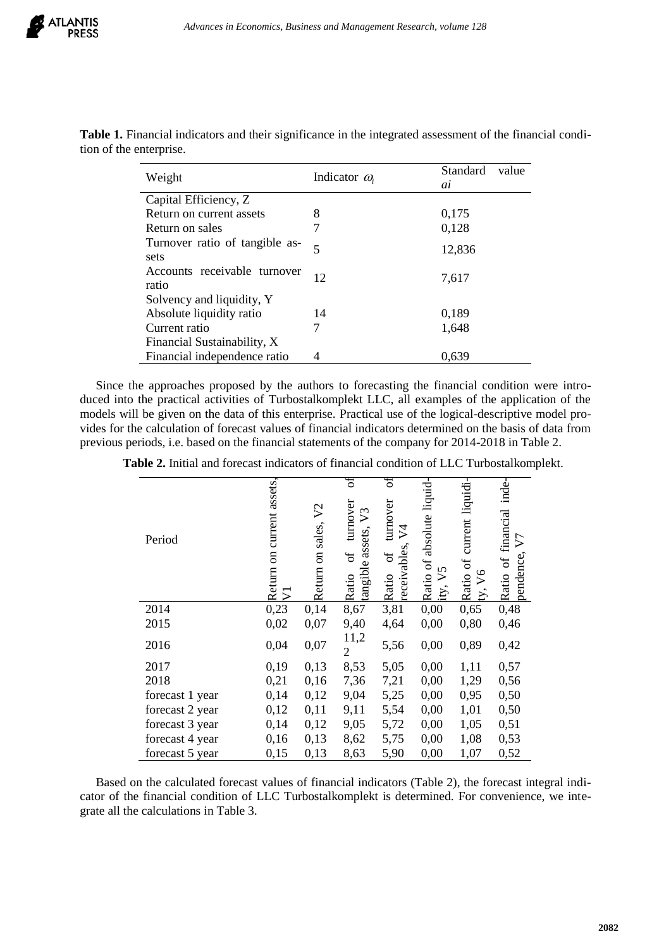| Weight                                 | Indicator $\omega_i$     | Standard<br>value<br>ai |
|----------------------------------------|--------------------------|-------------------------|
| Capital Efficiency, Z                  |                          |                         |
| Return on current assets               | 8                        | 0,175                   |
| Return on sales                        |                          | 0,128                   |
| Turnover ratio of tangible as-<br>sets | $\overline{\mathcal{L}}$ | 12,836                  |
| Accounts receivable turnover<br>ratio  | 12                       | 7,617                   |
| Solvency and liquidity, Y              |                          |                         |
| Absolute liquidity ratio               | 14                       | 0,189                   |
| Current ratio                          |                          | 1,648                   |
| Financial Sustainability, X            |                          |                         |
| Financial independence ratio           | 4                        | 0,639                   |

**Table 1.** Financial indicators and their significance in the integrated assessment of the financial condition of the enterprise.

Since the approaches proposed by the authors to forecasting the financial condition were introduced into the practical activities of Turbostalkomplekt LLC, all examples of the application of the models will be given on the data of this enterprise. Practical use of the logical-descriptive model provides for the calculation of forecast values of financial indicators determined on the basis of data from previous periods, i.e. based on the financial statements of the company for 2014-2018 in Table 2.

|  |  |  |  |  |  |  |  |  |  | <b>Table 2.</b> Initial and forecast indicators of financial condition of LLC Turbostalkomplekt. |  |
|--|--|--|--|--|--|--|--|--|--|--------------------------------------------------------------------------------------------------|--|
|--|--|--|--|--|--|--|--|--|--|--------------------------------------------------------------------------------------------------|--|

| Period          | assets<br>current<br>$\overline{5}$<br>Return<br>5 | V <sub>2</sub><br>Return on sales, | đ<br>turnover<br>$\mathfrak{S}$<br>assets,<br>$\sigma$ f<br>tangible<br>Ratio | đ<br>turnover<br>$\overline{v}$<br>receivables<br>ð<br>Ratio | absolute liquid-<br>Ratio of<br>5<br>➢<br>ity. | current liquidi-<br>đ<br>$\sqrt{6}$<br>Ratio<br>$\sum$ | Ratio of financial inde-<br>$\nabla$<br>pendence |
|-----------------|----------------------------------------------------|------------------------------------|-------------------------------------------------------------------------------|--------------------------------------------------------------|------------------------------------------------|--------------------------------------------------------|--------------------------------------------------|
| 2014            | 0,23                                               | 0,14                               | 8,67                                                                          | 3,81                                                         | 0,00                                           | 0,65                                                   | 0,48                                             |
| 2015            | 0,02                                               | 0,07                               | 9,40                                                                          | 4,64                                                         | 0,00                                           | 0,80                                                   | 0,46                                             |
| 2016            | 0,04                                               | 0,07                               | 11,2<br>$\overline{2}$                                                        | 5,56                                                         | 0,00                                           | 0,89                                                   | 0,42                                             |
| 2017            | 0,19                                               | 0,13                               | 8,53                                                                          | 5,05                                                         | 0,00                                           | 1,11                                                   | 0,57                                             |
| 2018            | 0,21                                               | 0,16                               | 7,36                                                                          | 7,21                                                         | 0,00                                           | 1,29                                                   | 0,56                                             |
| forecast 1 year | 0,14                                               | 0,12                               | 9,04                                                                          | 5,25                                                         | 0,00                                           | 0,95                                                   | 0,50                                             |
| forecast 2 year | 0,12                                               | 0,11                               | 9,11                                                                          | 5,54                                                         | 0,00                                           | 1,01                                                   | 0,50                                             |
| forecast 3 year | 0,14                                               | 0,12                               | 9,05                                                                          | 5,72                                                         | 0,00                                           | 1,05                                                   | 0,51                                             |
| forecast 4 year | 0,16                                               | 0,13                               | 8,62                                                                          | 5,75                                                         | 0,00                                           | 1,08                                                   | 0,53                                             |
| forecast 5 year | 0,15                                               | 0,13                               | 8,63                                                                          | 5,90                                                         | 0,00                                           | 1,07                                                   | 0,52                                             |

Based on the calculated forecast values of financial indicators (Table 2), the forecast integral indicator of the financial condition of LLC Turbostalkomplekt is determined. For convenience, we integrate all the calculations in Table 3.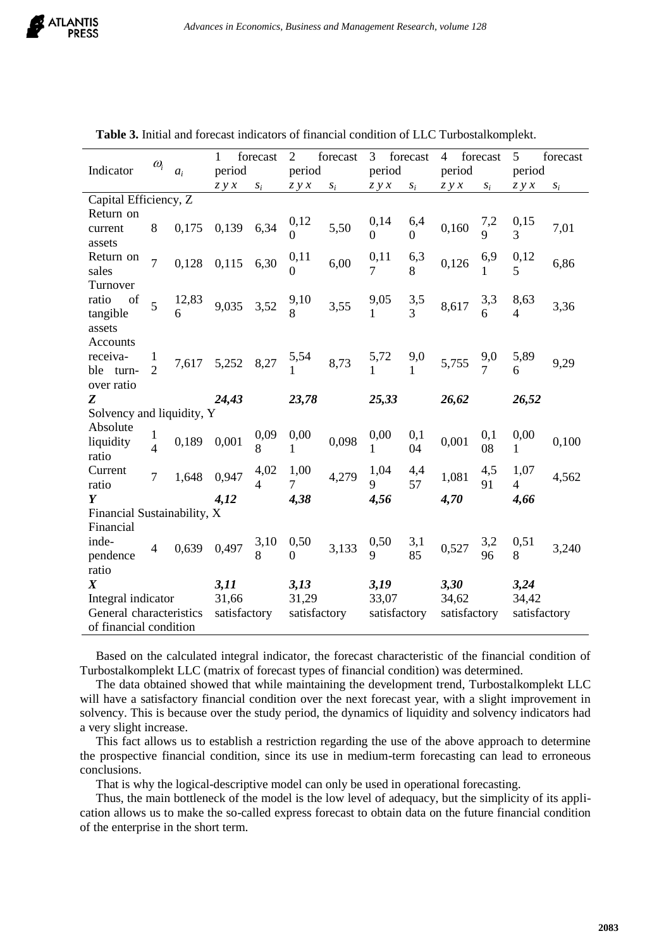|                             |                        |       | 1            | forecast       | $\overline{2}$   | forecast | 3 forecast   |                 | 4 forecast   |                 | 5              | forecast |
|-----------------------------|------------------------|-------|--------------|----------------|------------------|----------|--------------|-----------------|--------------|-----------------|----------------|----------|
| Indicator                   | $\omega_i$             | $a_i$ | period       |                | period           |          | period       |                 | period       |                 | period         |          |
|                             |                        |       | Z y x        | $S_i$          | zyx              | $S_i$    | zyx          | $S_i$           | zyx          | $S_i$           | Z y x          | $S_i$    |
| Capital Efficiency, Z       |                        |       |              |                |                  |          |              |                 |              |                 |                |          |
| Return on                   |                        |       |              |                | 0,12             |          | 0,14         | 6,4             |              | 7,2             | 0,15           |          |
| current                     | 8                      | 0,175 | 0,139        | 6,34           | 0                | 5,50     | $\Omega$     | $\Omega$        | 0,160        | 9               | 3              | 7,01     |
| assets                      |                        |       |              |                |                  |          |              |                 |              |                 |                |          |
| Return on<br>sales          | $\overline{7}$         | 0,128 | 0,115        | 6,30           | 0,11<br>0        | 6,00     | 0,11<br>7    | 6,3<br>8        | 0,126        | 6,9<br>1        | 0,12<br>5      | 6,86     |
| Turnover                    |                        |       |              |                |                  |          |              |                 |              |                 |                |          |
| ratio<br>of                 |                        | 12,83 |              |                |                  |          | 9,05         |                 |              | 3,3             | 8,63           |          |
| tangible                    | 5                      | 6     | 9,035        | 3,52           | $\frac{9,10}{8}$ | 3,55     |              | $\frac{3,5}{3}$ | 8,617        | 6               | 4              | 3,36     |
| assets                      |                        |       |              |                |                  |          |              |                 |              |                 |                |          |
| Accounts                    |                        |       |              |                |                  |          |              |                 |              |                 |                |          |
| receiva-                    | 1                      | 7,617 | 5,252        | 8,27           | $\frac{5,54}{1}$ | 8,73     | 5,72         | 9,0             | 5,755        | $\frac{9,0}{7}$ | 5,89           | 9,29     |
| ble turn-                   | $\overline{2}$         |       |              |                |                  |          |              |                 |              |                 |                |          |
| over ratio                  |                        |       |              |                |                  |          |              |                 |              |                 |                |          |
| Z                           |                        |       | 24,43        |                | 23,78            |          | 25,33        |                 | 26,62        |                 | 26,52          |          |
| Solvency and liquidity, Y   |                        |       |              |                |                  |          |              |                 |              |                 |                |          |
| Absolute                    | 1                      |       |              | 0,09           | 0,00             |          | 0,00         | 0,1             |              | 0,1             | 0,00           |          |
| liquidity<br>ratio          | $\overline{4}$         | 0,189 | 0,001        | 8              | 1                | 0,098    | 1            | 04              | 0,001        | 08              | 1              | 0,100    |
| Current                     |                        |       |              | 4,02           | 1,00             |          | 1,04         | 4,4             |              | 4,5             | 1,07           |          |
| ratio                       | $\overline{7}$         | 1,648 | 0,947        | $\overline{4}$ | $\overline{7}$   | 4,279    | 9            | 57              | 1,081        | 91              | $\overline{4}$ | 4,562    |
| Y                           |                        |       | 4,12         |                | 4,38             |          | 4,56         |                 | 4,70         |                 | 4,66           |          |
| Financial Sustainability, X |                        |       |              |                |                  |          |              |                 |              |                 |                |          |
| Financial                   |                        |       |              |                |                  |          |              |                 |              |                 |                |          |
| inde-                       | $\overline{4}$         | 0,639 | 0,497        | 3,10           | 0,50             | 3,133    | 0,50         | 3,1             | 0,527        | 3,2             | 0,51           | 3,240    |
| pendence                    |                        |       |              | 8              | 0                |          | 9            | 85              |              | 96              | 8              |          |
| ratio                       |                        |       |              |                |                  |          |              |                 |              |                 |                |          |
| $\boldsymbol{X}$            |                        |       | 3,11         |                | 3,13             |          | 3,19         |                 | 3,30         |                 | 3,24           |          |
| Integral indicator          |                        |       | 31,66        |                | 31,29            |          | 33,07        |                 | 34,62        |                 | 34,42          |          |
| General characteristics     |                        |       | satisfactory |                | satisfactory     |          | satisfactory |                 | satisfactory |                 | satisfactory   |          |
|                             | of financial condition |       |              |                |                  |          |              |                 |              |                 |                |          |

**Table 3.** Initial and forecast indicators of financial condition of LLC Turbostalkomplekt.

Based on the calculated integral indicator, the forecast characteristic of the financial condition of Turbostalkomplekt LLC (matrix of forecast types of financial condition) was determined.

The data obtained showed that while maintaining the development trend, Turbostalkomplekt LLC will have a satisfactory financial condition over the next forecast year, with a slight improvement in solvency. This is because over the study period, the dynamics of liquidity and solvency indicators had a very slight increase.

This fact allows us to establish a restriction regarding the use of the above approach to determine the prospective financial condition, since its use in medium-term forecasting can lead to erroneous conclusions.

That is why the logical-descriptive model can only be used in operational forecasting.

Thus, the main bottleneck of the model is the low level of adequacy, but the simplicity of its application allows us to make the so-called express forecast to obtain data on the future financial condition of the enterprise in the short term.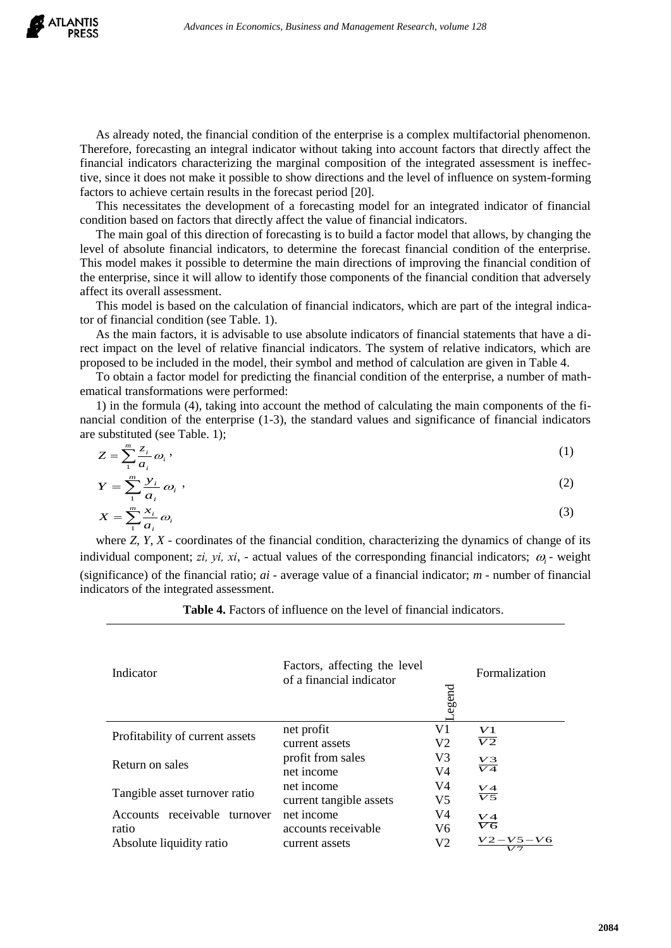

As already noted, the financial condition of the enterprise is a complex multifactorial phenomenon. Therefore, forecasting an integral indicator without taking into account factors that directly affect the financial indicators characterizing the marginal composition of the integrated assessment is ineffective, since it does not make it possible to show directions and the level of influence on system-forming factors to achieve certain results in the forecast period [20].

This necessitates the development of a forecasting model for an integrated indicator of financial condition based on factors that directly affect the value of financial indicators.

The main goal of this direction of forecasting is to build a factor model that allows, by changing the level of absolute financial indicators, to determine the forecast financial condition of the enterprise. This model makes it possible to determine the main directions of improving the financial condition of the enterprise, since it will allow to identify those components of the financial condition that adversely affect its overall assessment.

This model is based on the calculation of financial indicators, which are part of the integral indicator of financial condition (see Table. 1).

As the main factors, it is advisable to use absolute indicators of financial statements that have a direct impact on the level of relative financial indicators. The system of relative indicators, which are proposed to be included in the model, their symbol and method of calculation are given in Table 4.

To obtain a factor model for predicting the financial condition of the enterprise, a number of mathematical transformations were performed:

1) in the formula (4), taking into account the method of calculating the main components of the financial condition of the enterprise (1-3), the standard values and significance of financial indicators are substituted (see Table. 1);

$$
Z = \sum_{i=1}^{m} \frac{z_i}{a_i} \omega_i \,,\tag{1}
$$

$$
Y = \sum_{1}^{m} \frac{y_i}{a_i} \omega_i,
$$
  
\n
$$
X = \sum_{1}^{m} \frac{x_i}{a_i} \omega_i
$$
\n(2)

where *Z, Y, X* - coordinates of the financial condition, characterizing the dynamics of change of its individual component; *zi*, *yi*, *xi*, - actual values of the corresponding financial indicators;  $\omega_i$  - weight (significance) of the financial ratio; *ai -* average value of a financial indicator; *m -* number of financial indicators of the integrated assessment.

**Table 4.** Factors of influence on the level of financial indicators.

| Indicator                                                            | Factors, affecting the level<br>of a financial indicator | egend                | Formalization                                  |
|----------------------------------------------------------------------|----------------------------------------------------------|----------------------|------------------------------------------------|
| Profitability of current assets                                      | net profit<br>current assets                             | V1<br>V <sub>2</sub> | $\frac{V1}{V2}$                                |
| Return on sales                                                      | profit from sales<br>net income                          | V3<br>V4             | $\frac{V3}{V4}$                                |
| Tangible asset turnover ratio                                        | net income<br>current tangible assets                    | V4<br>V <sub>5</sub> | $\frac{V4}{V5}$                                |
| Accounts receivable<br>turnover<br>ratio<br>Absolute liquidity ratio | net income<br>accounts receivable<br>current assets      | V4<br>V6<br>V2       | V4<br>$\overline{V6}$<br>$V2 - V5 - V6$<br>177 |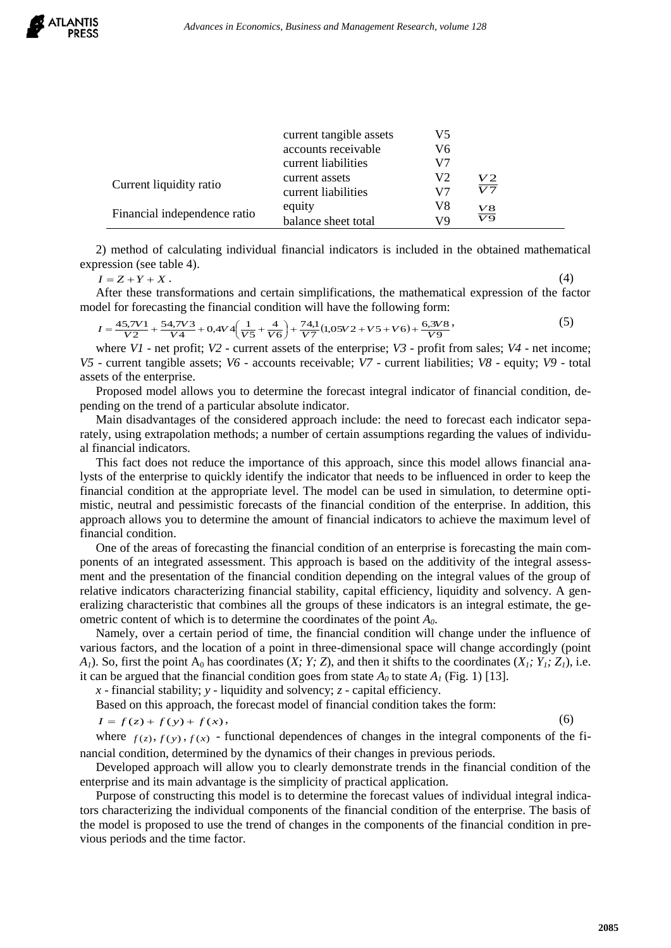|                              | current tangible assets | V5 |                 |
|------------------------------|-------------------------|----|-----------------|
|                              | accounts receivable     | V6 |                 |
|                              | current liabilities     | V7 |                 |
|                              | current assets          | V2 | V2              |
| Current liquidity ratio      | current liabilities     | V7 | V7              |
|                              | equity                  | V8 |                 |
| Financial independence ratio | balance sheet total     | V9 | $\frac{V8}{V9}$ |

2) method of calculating individual financial indicators is included in the obtained mathematical expression (see table 4).

 $I = Z + Y + X$ . (4)

After these transformations and certain simplifications, the mathematical expression of the factor model for forecasting the financial condition will have the following form:

$$
I = \frac{45,7V1}{V2} + \frac{54,7V3}{V4} + 0,4V4\left(\frac{1}{V5} + \frac{4}{V6}\right) + \frac{74,1}{V7}(1,05V2 + V5 + V6) + \frac{6,3V8}{V9},
$$
\n(5)

where *V1* - net profit; *V2* - current assets of the enterprise; *V3* - profit from sales; *V4* - net income; *V5* - current tangible assets; *V6* - accounts receivable; *V7* - current liabilities; *V8* - equity; *V9* - total assets of the enterprise.

Proposed model allows you to determine the forecast integral indicator of financial condition, depending on the trend of a particular absolute indicator.

Main disadvantages of the considered approach include: the need to forecast each indicator separately, using extrapolation methods; a number of certain assumptions regarding the values of individual financial indicators.

This fact does not reduce the importance of this approach, since this model allows financial analysts of the enterprise to quickly identify the indicator that needs to be influenced in order to keep the financial condition at the appropriate level. The model can be used in simulation, to determine optimistic, neutral and pessimistic forecasts of the financial condition of the enterprise. In addition, this approach allows you to determine the amount of financial indicators to achieve the maximum level of financial condition.

One of the areas of forecasting the financial condition of an enterprise is forecasting the main components of an integrated assessment. This approach is based on the additivity of the integral assessment and the presentation of the financial condition depending on the integral values of the group of relative indicators characterizing financial stability, capital efficiency, liquidity and solvency. A generalizing characteristic that combines all the groups of these indicators is an integral estimate, the geometric content of which is to determine the coordinates of the point *A0*.

Namely, over a certain period of time, the financial condition will change under the influence of various factors, and the location of a point in three-dimensional space will change accordingly (point *A*<sub>1</sub>). So, first the point  $A_0$  has coordinates (*X; Y; Z*), and then it shifts to the coordinates (*X<sub>1</sub>*; *Y<sub>1</sub>*; *Z<sub>1</sub>*), i.e. it can be argued that the financial condition goes from state  $A_0$  to state  $A_1$  (Fig. 1) [13].

*x* - financial stability; *y* - liquidity and solvency; *z* - capital efficiency.

Based on this approach, the forecast model of financial condition takes the form:

$$
I = f(z) + f(y) + f(x),\tag{6}
$$

where  $f(z)$ ,  $f(y)$ ,  $f(x)$  - functional dependences of changes in the integral components of the financial condition, determined by the dynamics of their changes in previous periods.

Developed approach will allow you to clearly demonstrate trends in the financial condition of the enterprise and its main advantage is the simplicity of practical application.

Purpose of constructing this model is to determine the forecast values of individual integral indicators characterizing the individual components of the financial condition of the enterprise. The basis of the model is proposed to use the trend of changes in the components of the financial condition in previous periods and the time factor.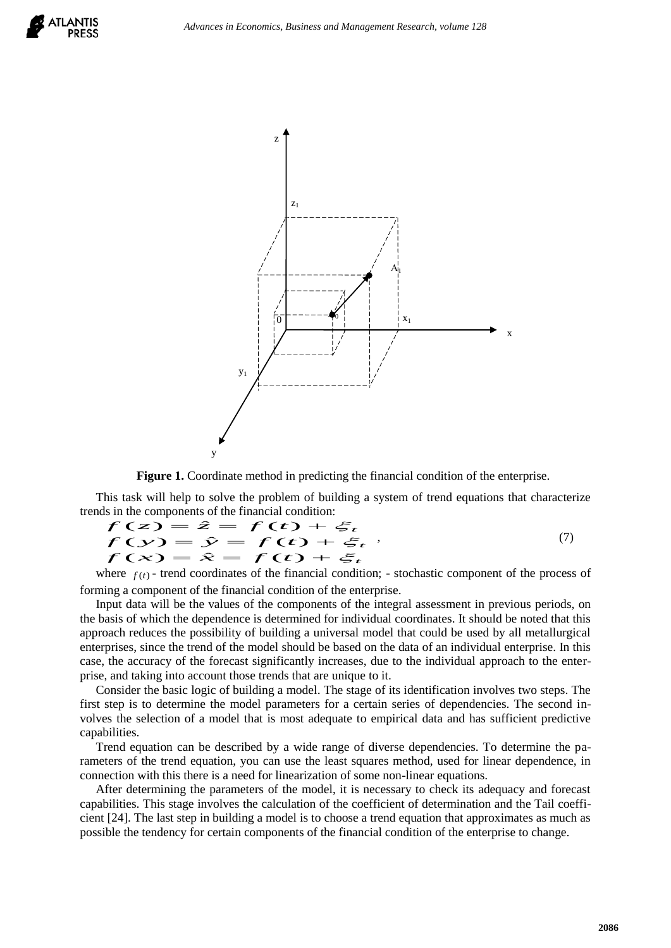



#### **Figure 1.** Coordinate method in predicting the financial condition of the enterprise.

This task will help to solve the problem of building a system of trend equations that characterize trends in the components of the financial condition:<br> $f(z) = \hat{z} = f(z) +$ 

$$
f(z) = \hat{z} = f(t) + \xi_t
$$
  
\n
$$
f(y) = \hat{y} = f(t) + \xi_t
$$
  
\n
$$
f(x) = \hat{x} = f(t) + \xi_t
$$
\n(7)

where  $f(t)$  - trend coordinates of the financial condition; - stochastic component of the process of forming a component of the financial condition of the enterprise.

Input data will be the values of the components of the integral assessment in previous periods, on the basis of which the dependence is determined for individual coordinates. It should be noted that this approach reduces the possibility of building a universal model that could be used by all metallurgical enterprises, since the trend of the model should be based on the data of an individual enterprise. In this case, the accuracy of the forecast significantly increases, due to the individual approach to the enterprise, and taking into account those trends that are unique to it.

Consider the basic logic of building a model. The stage of its identification involves two steps. The first step is to determine the model parameters for a certain series of dependencies. The second involves the selection of a model that is most adequate to empirical data and has sufficient predictive capabilities.

Trend equation can be described by a wide range of diverse dependencies. To determine the parameters of the trend equation, you can use the least squares method, used for linear dependence, in connection with this there is a need for linearization of some non-linear equations.

After determining the parameters of the model, it is necessary to check its adequacy and forecast capabilities. This stage involves the calculation of the coefficient of determination and the Tail coefficient [24]. The last step in building a model is to choose a trend equation that approximates as much as possible the tendency for certain components of the financial condition of the enterprise to change.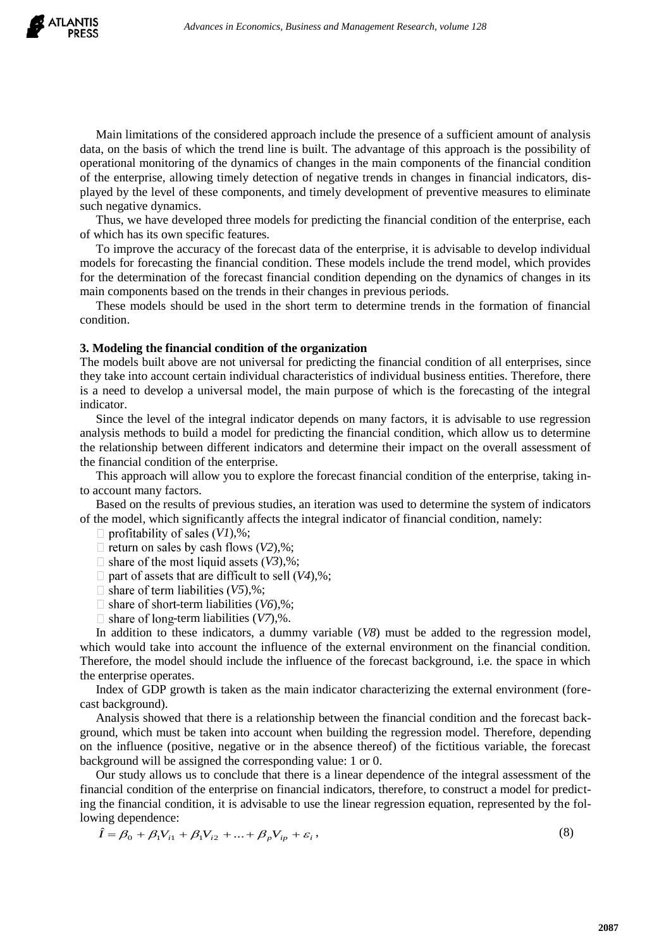Main limitations of the considered approach include the presence of a sufficient amount of analysis data, on the basis of which the trend line is built. The advantage of this approach is the possibility of operational monitoring of the dynamics of changes in the main components of the financial condition of the enterprise, allowing timely detection of negative trends in changes in financial indicators, displayed by the level of these components, and timely development of preventive measures to eliminate such negative dynamics.

Thus, we have developed three models for predicting the financial condition of the enterprise, each of which has its own specific features.

To improve the accuracy of the forecast data of the enterprise, it is advisable to develop individual models for forecasting the financial condition. These models include the trend model, which provides for the determination of the forecast financial condition depending on the dynamics of changes in its main components based on the trends in their changes in previous periods.

These models should be used in the short term to determine trends in the formation of financial condition.

#### **3. Modeling the financial condition of the organization**

The models built above are not universal for predicting the financial condition of all enterprises, since they take into account certain individual characteristics of individual business entities. Therefore, there is a need to develop a universal model, the main purpose of which is the forecasting of the integral indicator.

Since the level of the integral indicator depends on many factors, it is advisable to use regression analysis methods to build a model for predicting the financial condition, which allow us to determine the relationship between different indicators and determine their impact on the overall assessment of the financial condition of the enterprise.

This approach will allow you to explore the forecast financial condition of the enterprise, taking into account many factors.

Based on the results of previous studies, an iteration was used to determine the system of indicators of the model, which significantly affects the integral indicator of financial condition, namely:

 $\Box$  profitability of sales (V1),%;

 $\Box$  return on sales by cash flows (V2),%;

 $\Box$  share of the most liquid assets (V3),%;

 $\Box$  part of assets that are difficult to sell (V4),%;

 $\Box$  share of term liabilities (V5),%;

 $\Box$  share of short-term liabilities (*V6*),%;

 $\Box$  share of long-term liabilities (*V7*),%.

In addition to these indicators, a dummy variable (*V8*) must be added to the regression model, which would take into account the influence of the external environment on the financial condition. Therefore, the model should include the influence of the forecast background, i.e. the space in which the enterprise operates.

Index of GDP growth is taken as the main indicator characterizing the external environment (forecast background).

Analysis showed that there is a relationship between the financial condition and the forecast background, which must be taken into account when building the regression model. Therefore, depending on the influence (positive, negative or in the absence thereof) of the fictitious variable, the forecast background will be assigned the corresponding value: 1 or 0.

Our study allows us to conclude that there is a linear dependence of the integral assessment of the financial condition of the enterprise on financial indicators, therefore, to construct a model for predicting the financial condition, it is advisable to use the linear regression equation, represented by the following dependence:

$$
\hat{I} = \beta_0 + \beta_1 V_{i1} + \beta_1 V_{i2} + \dots + \beta_p V_{ip} + \varepsilon_i,
$$
\n(8)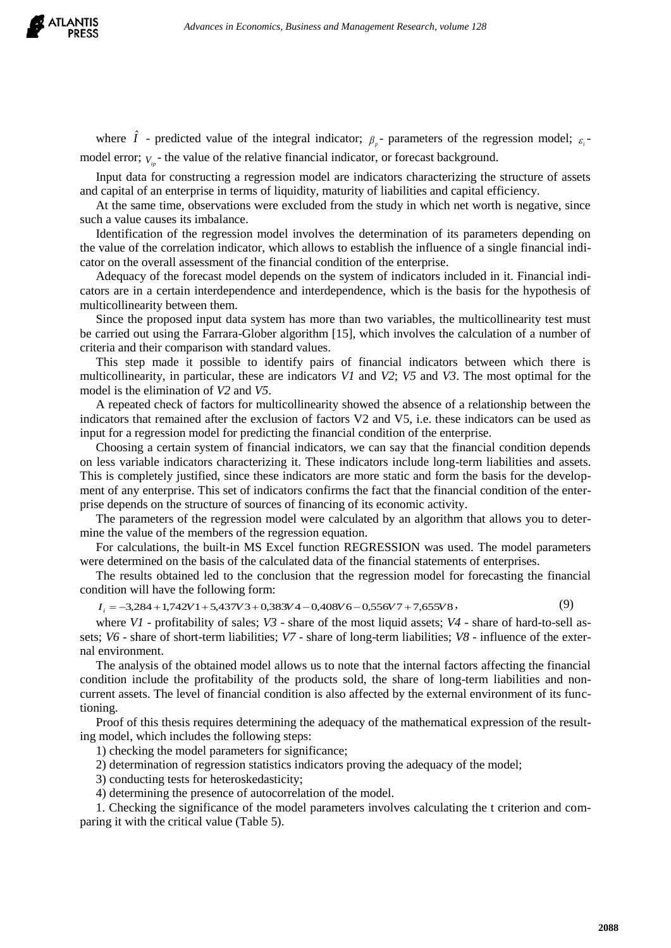

where  $\hat{I}$  - predicted value of the integral indicator;  $\beta_{p}$ - parameters of the regression model;  $\epsilon_{i}$ model error;  $V_{ip}$  the value of the relative financial indicator, or forecast background.

Input data for constructing a regression model are indicators characterizing the structure of assets and capital of an enterprise in terms of liquidity, maturity of liabilities and capital efficiency.

At the same time, observations were excluded from the study in which net worth is negative, since such a value causes its imbalance.

Identification of the regression model involves the determination of its parameters depending on the value of the correlation indicator, which allows to establish the influence of a single financial indicator on the overall assessment of the financial condition of the enterprise.

Adequacy of the forecast model depends on the system of indicators included in it. Financial indicators are in a certain interdependence and interdependence, which is the basis for the hypothesis of multicollinearity between them.

Since the proposed input data system has more than two variables, the multicollinearity test must be carried out using the Farrara-Glober algorithm [15], which involves the calculation of a number of criteria and their comparison with standard values.

This step made it possible to identify pairs of financial indicators between which there is multicollinearity, in particular, these are indicators *V1* and *V2*; *V5* and *V3*. The most optimal for the model is the elimination of *V2* and *V5*.

A repeated check of factors for multicollinearity showed the absence of a relationship between the indicators that remained after the exclusion of factors V2 and V5, i.e. these indicators can be used as input for a regression model for predicting the financial condition of the enterprise.

Choosing a certain system of financial indicators, we can say that the financial condition depends on less variable indicators characterizing it. These indicators include long-term liabilities and assets. This is completely justified, since these indicators are more static and form the basis for the development of any enterprise. This set of indicators confirms the fact that the financial condition of the enterprise depends on the structure of sources of financing of its economic activity.

The parameters of the regression model were calculated by an algorithm that allows you to determine the value of the members of the regression equation.

For calculations, the built-in MS Excel function REGRESSION was used. The model parameters were determined on the basis of the calculated data of the financial statements of enterprises.

The results obtained led to the conclusion that the regression model for forecasting the financial condition will have the following form:

 $I_i = -3,284 + 1,742V1 + 5,437V3 + 0,383V4 - 0,408V6 - 0,556V7 + 7,655V8$ , (9)

where *V1* - profitability of sales; *V3* - share of the most liquid assets; *V4* - share of hard-to-sell assets; *V6* - share of short-term liabilities; *V7* - share of long-term liabilities; *V8* - influence of the external environment.

The analysis of the obtained model allows us to note that the internal factors affecting the financial condition include the profitability of the products sold, the share of long-term liabilities and noncurrent assets. The level of financial condition is also affected by the external environment of its functioning.

Proof of this thesis requires determining the adequacy of the mathematical expression of the resulting model, which includes the following steps:

1) checking the model parameters for significance;

2) determination of regression statistics indicators proving the adequacy of the model;

3) conducting tests for heteroskedasticity;

4) determining the presence of autocorrelation of the model.

1. Checking the significance of the model parameters involves calculating the t criterion and comparing it with the critical value (Table 5).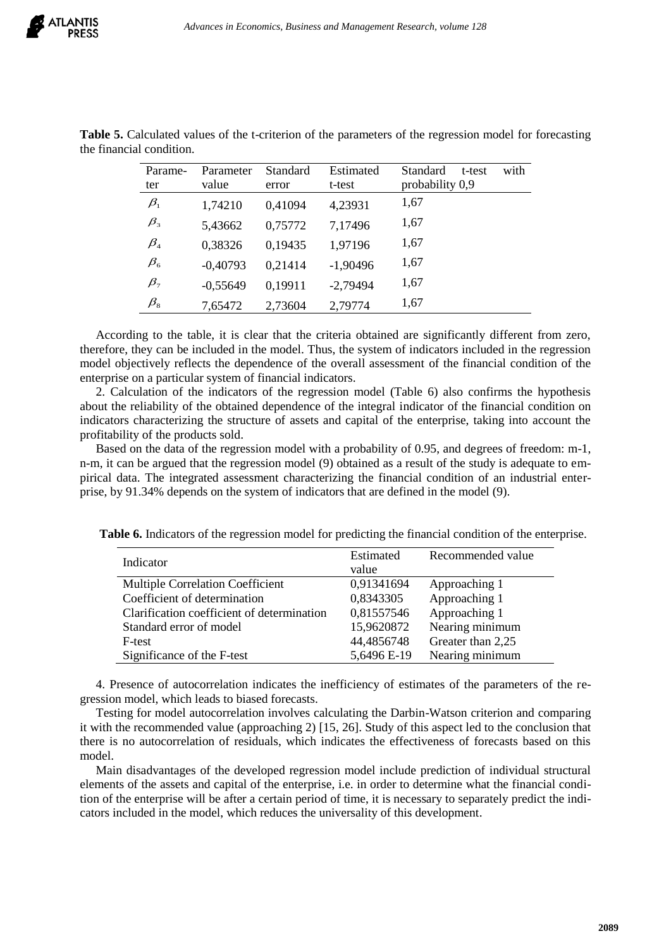| Parame-                        | Parameter  | Standard | Estimated  | with<br>Standard<br>t-test |
|--------------------------------|------------|----------|------------|----------------------------|
| ter                            | value      | error    | t-test     | probability 0,9            |
| $\beta_{1}$                    | 1,74210    | 0,41094  | 4,23931    | 1,67                       |
| $\beta_{3}$                    | 5,43662    | 0,75772  | 7,17496    | 1,67                       |
| $\beta_4$                      | 0,38326    | 0,19435  | 1,97196    | 1,67                       |
| $\beta_{\scriptscriptstyle 6}$ | $-0,40793$ | 0,21414  | $-1,90496$ | 1,67                       |
| $\beta_{7}$                    | $-0,55649$ | 0,19911  | $-2,79494$ | 1,67                       |
| $\beta_{\text{\tiny 8}}$       | 7,65472    | 2,73604  | 2,79774    | 1,67                       |

**Table 5.** Calculated values of the t-criterion of the parameters of the regression model for forecasting the financial condition.

According to the table, it is clear that the criteria obtained are significantly different from zero, therefore, they can be included in the model. Thus, the system of indicators included in the regression model objectively reflects the dependence of the overall assessment of the financial condition of the enterprise on a particular system of financial indicators.

2. Calculation of the indicators of the regression model (Table 6) also confirms the hypothesis about the reliability of the obtained dependence of the integral indicator of the financial condition on indicators characterizing the structure of assets and capital of the enterprise, taking into account the profitability of the products sold.

Based on the data of the regression model with a probability of 0.95, and degrees of freedom: m-1, n-m, it can be argued that the regression model (9) obtained as a result of the study is adequate to empirical data. The integrated assessment characterizing the financial condition of an industrial enterprise, by 91.34% depends on the system of indicators that are defined in the model (9).

**Table 6.** Indicators of the regression model for predicting the financial condition of the enterprise.

| Indicator                                  | Estimated   | Recommended value |
|--------------------------------------------|-------------|-------------------|
|                                            | value       |                   |
| Multiple Correlation Coefficient           | 0,91341694  | Approaching 1     |
| Coefficient of determination               | 0,8343305   | Approaching 1     |
| Clarification coefficient of determination | 0,81557546  | Approaching 1     |
| Standard error of model                    | 15,9620872  | Nearing minimum   |
| F-test                                     | 44,4856748  | Greater than 2,25 |
| Significance of the F-test                 | 5,6496 E-19 | Nearing minimum   |

4. Presence of autocorrelation indicates the inefficiency of estimates of the parameters of the regression model, which leads to biased forecasts.

Testing for model autocorrelation involves calculating the Darbin-Watson criterion and comparing it with the recommended value (approaching 2) [15, 26]. Study of this aspect led to the conclusion that there is no autocorrelation of residuals, which indicates the effectiveness of forecasts based on this model.

Main disadvantages of the developed regression model include prediction of individual structural elements of the assets and capital of the enterprise, i.e. in order to determine what the financial condition of the enterprise will be after a certain period of time, it is necessary to separately predict the indicators included in the model, which reduces the universality of this development.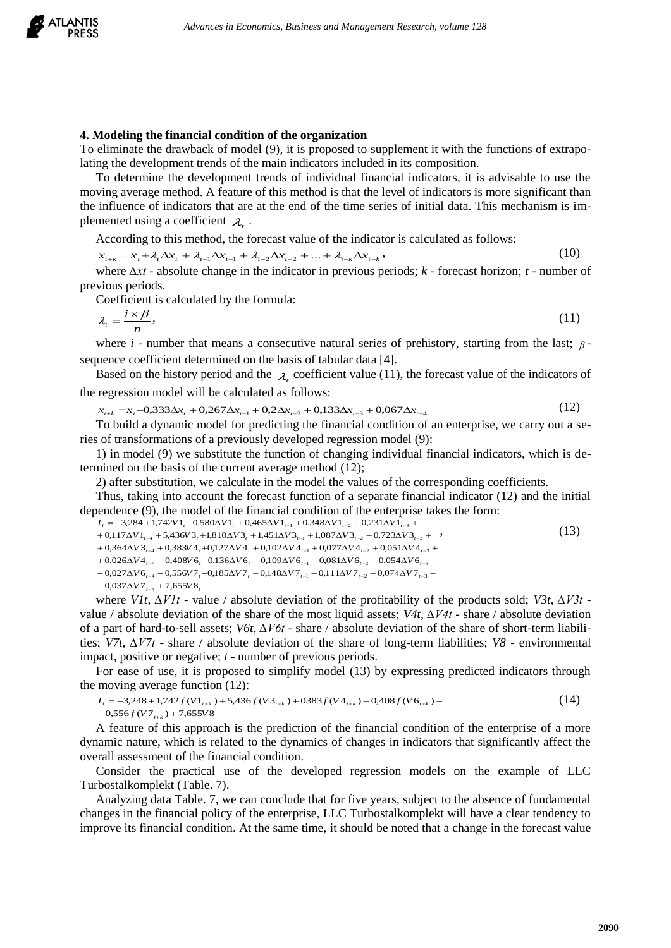

## **4. Modeling the financial condition of the organization**

To eliminate the drawback of model (9), it is proposed to supplement it with the functions of extrapolating the development trends of the main indicators included in its composition.

To determine the development trends of individual financial indicators, it is advisable to use the moving average method. A feature of this method is that the level of indicators is more significant than the influence of indicators that are at the end of the time series of initial data. This mechanism is implemented using a coefficient  $\lambda_i$ .

According to this method, the forecast value of the indicator is calculated as follows:

 $x_{t+k} = x_t + \lambda_t \Delta x_t + \lambda_{t-1} \Delta x_{t-1} + \lambda_{t-2} \Delta x_{t-2} + ... + \lambda_{t-k} \Delta x_{t-k}$  $,$  (10)

where *∆хt* - absolute change in the indicator in previous periods; *k -* forecast horizon; *t* - number of previous periods.

Coefficient is calculated by the formula:

$$
\lambda_t = \frac{i \times \beta}{n},\tag{11}
$$

where  $i$  - number that means a consecutive natural series of prehistory, starting from the last;  $\beta$ sequence coefficient determined on the basis of tabular data [4].

Based on the history period and the  $\lambda_t$  coefficient value (11), the forecast value of the indicators of the regression model will be calculated as follows:

 $x_{t+k} = x_t + 0.333 \Delta x_t + 0.267 \Delta x_{t-1} + 0.2 \Delta x_{t-2} + 0.133 \Delta x_{t-3} + 0.067 \Delta x_{t-4}$ (12)

To build a dynamic model for predicting the financial condition of an enterprise, we carry out a series of transformations of a previously developed regression model (9):

1) in model (9) we substitute the function of changing individual financial indicators, which is determined on the basis of the current average method (12);

2) after substitution, we calculate in the model the values of the corresponding coefficients.

Thus, taking into account the forecast function of a separate financial indicator (12) and the initial dependence (9), the model of the financial condition of the enterprise takes the form:

```
-0.037 \Delta V7_{t-4} + 7.655 V8_tt = 0.027 \Delta V 6<sub>t-4</sub> -0.556 V 7<sub>t</sub>-0.185 \Delta V 7<sub>t</sub>-0.148 \Delta V 7<sub>t-1</sub>-0.111 \Delta V 7<sub>t-2</sub>-0.074 \Delta V 7<sub>t-3</sub>-t + 0.026 \Delta V 4<sub>t-4</sub> - 0.408 V 6<sub>t</sub>-0.136\Delta V 6<sub>t</sub> - 0.109 \Delta V 6<sub>t-1</sub> - 0.081 \Delta V 6<sub>t-2</sub> - 0.054 \Delta V 6<sub>t-3</sub> - 0.054 \Delta V 6t + 0.364 \Delta V^2_{t-4} + 0.383 V^4_{t} + 0.127 \Delta V^4_{t} + 0.102 \Delta V^4_{t-1} + 0.077 \Delta V^4_{t-2} + 0.051 \Delta V^4_{t-3} +t + 0.117 \Delta V1_{t-4} + 5.436 V3_t + 1.810 \Delta V3_t + 1.451 \Delta V3_{t-1} + 1.087 \Delta V3_{t-2} + 0.723 \Delta V3_{t-3} +I_i = -3,284 + 1,742V1<sub>t</sub> +0,580\Delta V1<sub>t</sub> + 0,465\Delta V1<sub>t-1</sub> + 0,348\Delta V1<sub>t-2</sub> + 0,231\Delta V1<sub>t-3</sub> +
                                                                                                                                                                                                              (13)
```
where *V1t*, *∆V1t* - value / absolute deviation of the profitability of the products sold; *V3t*, *∆V3t* value / absolute deviation of the share of the most liquid assets; *V4t*, *∆V4t* - share / absolute deviation of a part of hard-to-sell assets; *V6t*, *∆V6t* - share / absolute deviation of the share of short-term liabilities; *V7t*, *∆V7t* - share / absolute deviation of the share of long-term liabilities; *V8* - environmental impact, positive or negative; *t* - number of previous periods.

For ease of use, it is proposed to simplify model (13) by expressing predicted indicators through the moving average function (12):

$$
I_i = -3,248 + 1,742 f(V1_{i+k}) + 5,436 f(V3_{i+k}) + 0383 f(V4_{i+k}) - 0,408 f(V6_{i+k}) - 0,556 f(V7_{i+k}) + 7,655 V8
$$
\n(14)

A feature of this approach is the prediction of the financial condition of the enterprise of a more dynamic nature, which is related to the dynamics of changes in indicators that significantly affect the overall assessment of the financial condition.

Consider the practical use of the developed regression models on the example of LLC Turbostalkomplekt (Table. 7).

Analyzing data Table. 7, we can conclude that for five years, subject to the absence of fundamental changes in the financial policy of the enterprise, LLC Turbostalkomplekt will have a clear tendency to improve its financial condition. At the same time, it should be noted that a change in the forecast value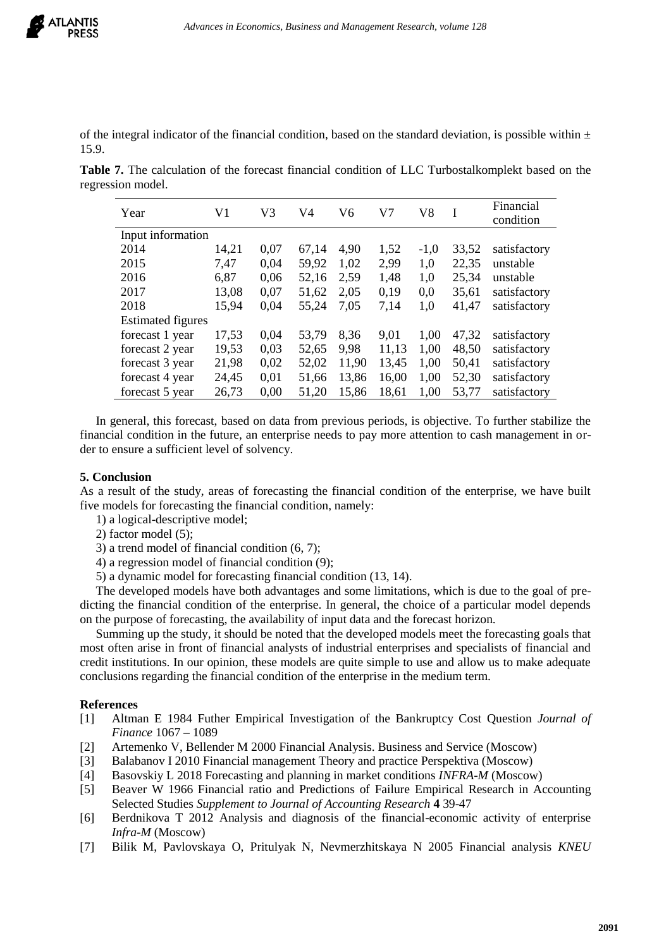of the integral indicator of the financial condition, based on the standard deviation, is possible within  $\pm$ 15.9.

**Table 7.** The calculation of the forecast financial condition of LLC Turbostalkomplekt based on the regression model.

| Year                     | V1    | V3   | V4    | V6    | V7    | V8     | I     | Financial    |  |
|--------------------------|-------|------|-------|-------|-------|--------|-------|--------------|--|
|                          |       |      |       |       |       |        |       | condition    |  |
| Input information        |       |      |       |       |       |        |       |              |  |
| 2014                     | 14,21 | 0.07 | 67,14 | 4,90  | 1,52  | $-1,0$ | 33,52 | satisfactory |  |
| 2015                     | 7.47  | 0.04 | 59,92 | 1,02  | 2,99  | 1,0    | 22,35 | unstable     |  |
| 2016                     | 6,87  | 0.06 | 52,16 | 2.59  | 1,48  | 1,0    | 25,34 | unstable     |  |
| 2017                     | 13,08 | 0.07 | 51,62 | 2,05  | 0.19  | 0,0    | 35,61 | satisfactory |  |
| 2018                     | 15,94 | 0.04 | 55,24 | 7,05  | 7,14  | 1,0    | 41,47 | satisfactory |  |
| <b>Estimated figures</b> |       |      |       |       |       |        |       |              |  |
| forecast 1 year          | 17,53 | 0.04 | 53,79 | 8.36  | 9,01  | 1,00   | 47,32 | satisfactory |  |
| forecast 2 year          | 19,53 | 0,03 | 52,65 | 9.98  | 11,13 | 1,00   | 48,50 | satisfactory |  |
| forecast 3 year          | 21,98 | 0,02 | 52,02 | 11,90 | 13,45 | 1,00   | 50,41 | satisfactory |  |
| forecast 4 year          | 24,45 | 0,01 | 51,66 | 13,86 | 16,00 | 1,00   | 52,30 | satisfactory |  |
| forecast 5 year          | 26,73 | 0,00 | 51,20 | 15,86 | 18,61 | 1,00   | 53,77 | satisfactory |  |

In general, this forecast, based on data from previous periods, is objective. To further stabilize the financial condition in the future, an enterprise needs to pay more attention to cash management in order to ensure a sufficient level of solvency.

## **5. Conclusion**

As a result of the study, areas of forecasting the financial condition of the enterprise, we have built five models for forecasting the financial condition, namely:

1) a logical-descriptive model;

2) factor model (5);

- 3) a trend model of financial condition (6, 7);
- 4) a regression model of financial condition (9);
- 5) a dynamic model for forecasting financial condition (13, 14).

The developed models have both advantages and some limitations, which is due to the goal of predicting the financial condition of the enterprise. In general, the choice of a particular model depends on the purpose of forecasting, the availability of input data and the forecast horizon.

Summing up the study, it should be noted that the developed models meet the forecasting goals that most often arise in front of financial analysts of industrial enterprises and specialists of financial and credit institutions. In our opinion, these models are quite simple to use and allow us to make adequate conclusions regarding the financial condition of the enterprise in the medium term.

### **References**

- [1] Altman E 1984 Futher Empirical Investigation of the Bankruptcy Cost Question *Journal of Finance* 1067 – 1089
- [2] Artemenko V, Bellender M 2000 Financial Analysis. Business and Service (Moscow)
- [3] Balabanov I 2010 Financial management Theory and practice Perspektiva (Moscow)
- [4] Basovskiy L 2018 Forecasting and planning in market conditions *INFRA-M* (Moscow)
- [5] Beaver W 1966 Financial ratio and Predictions of Failure Empirical Research in Accounting Selected Studies *Supplement to Journal of Accounting Research* **4** 39-47
- [6] Berdnikova T 2012 Analysis and diagnosis of the financial-economic activity of enterprise *Infra-M* (Moscow)
- [7] Bilik M, Pavlovskaya O, Pritulyak N, Nevmerzhitskaya N 2005 Financial analysis *KNEU*